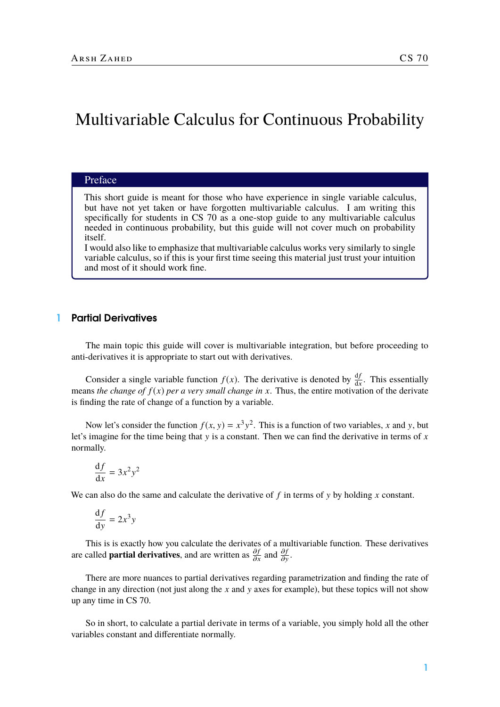# Multivariable Calculus for Continuous Probability

## Preface

This short guide is meant for those who have experience in single variable calculus, but have not yet taken or have forgotten multivariable calculus. I am writing this specifically for students in CS 70 as a one-stop guide to any multivariable calculus needed in continuous probability, but this guide will not cover much on probability itself.

I would also like to emphasize that multivariable calculus works very similarly to single variable calculus, so if this is your first time seeing this material just trust your intuition and most of it should work fine.

#### 1 Partial Derivatives

The main topic this guide will cover is multivariable integration, but before proceeding to anti-derivatives it is appropriate to start out with derivatives.

Consider a single variable function  $f(x)$ . The derivative is denoted by  $\frac{df}{dx}$ . This essentially means *the change of*  $f(x)$  *per a very small change in*  $x$ . Thus, the entire motivation of the derivate is finding the rate of change of a function by a variable.

Now let's consider the function  $f(x, y) = x^3y^2$ . This is a function of two variables, *x* and *y*, but imaging for the time being that *y* is a constant. Then we can find the derivative in terms of *x* let's imagine for the time being that y is a constant. Then we can find the derivative in terms of *x* normally.

$$
\frac{\mathrm{d}f}{\mathrm{d}x} = 3x^2y^2
$$

We can also do the same and calculate the derivative of f in terms of y by holding x constant.

$$
\frac{\mathrm{d}f}{\mathrm{d}y} = 2x^3y
$$

This is is exactly how you calculate the derivates of a multivariable function. These derivatives are called **partial derivatives**, and are written as  $\frac{\partial f}{\partial x}$  $\partial x$ and  $\frac{\partial f}{\partial x}$  $rac{\partial y}{\partial y}$ .

There are more nuances to partial derivatives regarding parametrization and finding the rate of change in any direction (not just along the *x* and y axes for example), but these topics will not show up any time in CS 70.

So in short, to calculate a partial derivate in terms of a variable, you simply hold all the other variables constant and differentiate normally.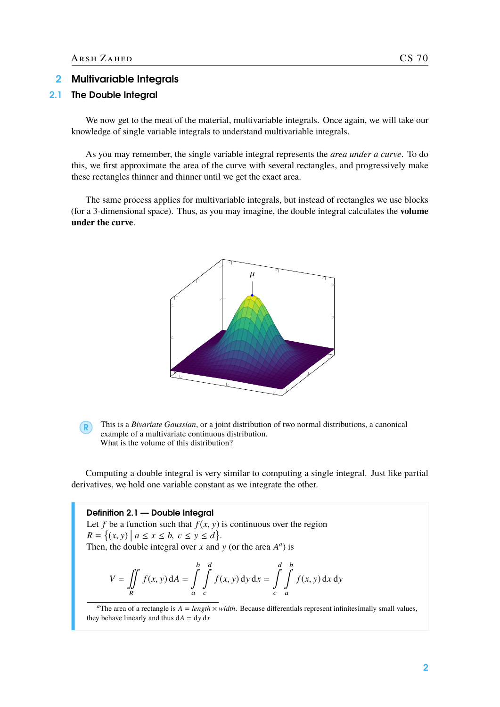### 2 Multivariable Integrals

#### 2.1 The Double Integral

We now get to the meat of the material, multivariable integrals. Once again, we will take our knowledge of single variable integrals to understand multivariable integrals.

As you may remember, the single variable integral represents the *area under a curve*. To do this, we first approximate the area of the curve with several rectangles, and progressively make these rectangles thinner and thinner until we get the exact area.

The same process applies for multivariable integrals, but instead of rectangles we use blocks (for a 3-dimensional space). Thus, as you may imagine, the double integral calculates the **volume under the curve**.



R This is a *Bivariate Gaussian*, or a joint distribution of two normal distributions, a canonical example of a multivariate continuous distribution. What is the volume of this distribution?

Computing a double integral is very similar to computing a single integral. Just like partial derivatives, we hold one variable constant as we integrate the other.

Definition 2.1 — Double Integral Let *f* be a function such that  $f(x, y)$  is continuous over the region  $R = \{(x, y) \mid a \le x \le b, c \le y \le d\}.$ <br>Then the double integral over x and Then, the double integral over *x* and *y* (or the area  $A^a$ ) is

$$
V = \iint\limits_R f(x, y) \, dA = \int\limits_a^b \int\limits_c^d f(x, y) \, dy \, dx = \int\limits_c^d \int\limits_a^b f(x, y) \, dx \, dy
$$

 $a$ The area of a rectangle is  $A = length \times width$ . Because differentials represent infinitesimally small values, they behave linearly and thus  $dA = dy dx$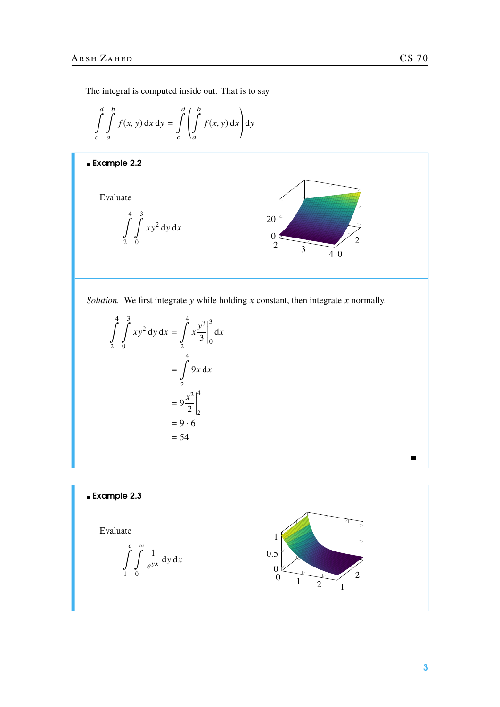The integral is computed inside out. That is to say

$$
\int_{c}^{d} \int_{a}^{b} f(x, y) dx dy = \int_{c}^{d} \left( \int_{a}^{b} f(x, y) dx \right) dy
$$

Example 2.2



*Solution.* We first integrate y while holding *x* constant, then integrate *x* normally.

$$
\int_{2}^{4} \int_{0}^{3} xy^{2} dy dx = \int_{2}^{4} x \frac{y^{3}}{3} \Big|_{0}^{3} dx
$$
  
= 
$$
\int_{2}^{4} 9x dx
$$
  
= 
$$
9 \frac{x^{2}}{2} \Big|_{2}^{4}
$$
  
= 
$$
9 \cdot 6
$$
  
= 54

Example 2.3

2

Evaluate

$$
\int_{1}^{e} \int_{0}^{\infty} \frac{1}{e^{yx}} \, \mathrm{d}y \, \mathrm{d}x
$$



 $\blacksquare$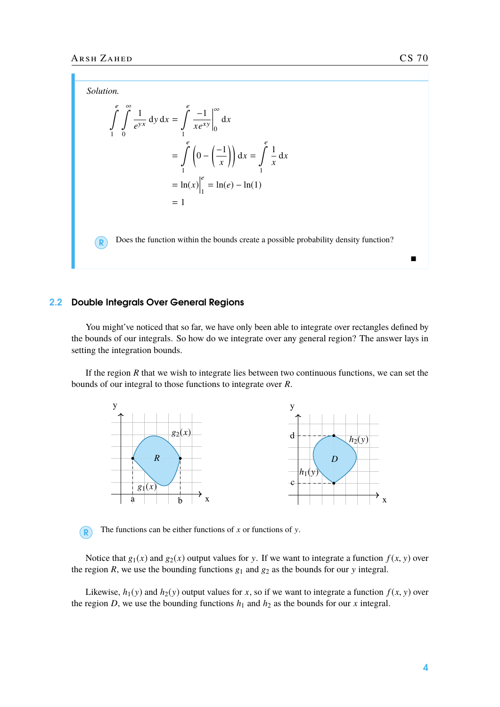*Solution.*

$$
\int_{1}^{e} \int_{0}^{\infty} \frac{1}{e^{yx}} dy dx = \int_{1}^{e} \frac{-1}{xe^{xy}} \Big|_{0}^{\infty} dx
$$
  
= 
$$
\int_{1}^{e} \left(0 - \left(\frac{-1}{x}\right)\right) dx = \int_{1}^{e} \frac{1}{x} dx
$$
  
= 
$$
\ln(x) \Big|_{1}^{e} = \ln(e) - \ln(1)
$$
  
= 1

R Does the function within the bounds create a possible probability density function?

#### 2.2 Double Integrals Over General Regions

You might've noticed that so far, we have only been able to integrate over rectangles defined by the bounds of our integrals. So how do we integrate over any general region? The answer lays in setting the integration bounds.

If the region *R* that we wish to integrate lies between two continuous functions, we can set the bounds of our integral to those functions to integrate over *R*.



R The functions can be either functions of *x* or functions of y.

Notice that  $g_1(x)$  and  $g_2(x)$  output values for y. If we want to integrate a function  $f(x, y)$  over the region *R*, we use the bounding functions  $g_1$  and  $g_2$  as the bounds for our y integral.

Likewise,  $h_1(y)$  and  $h_2(y)$  output values for *x*, so if we want to integrate a function  $f(x, y)$  over the region *D*, we use the bounding functions  $h_1$  and  $h_2$  as the bounds for our *x* integral.

 $\blacksquare$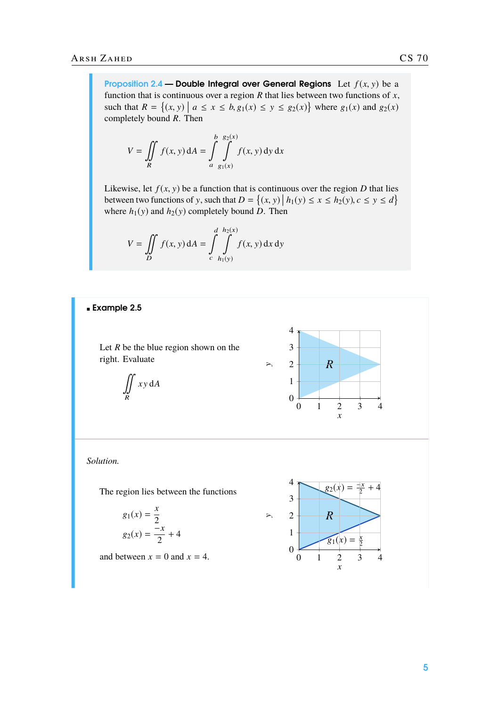Proposition 2.4 — Double Integral over General Regions Let  $f(x, y)$  be a function that is continuous over a region *R* that lies between two functions of *x*, such that  $R = \{(x, y) \mid a \le x \le b, g_1(x) \le y \le g_2(x)\}$  where  $g_1(x)$  and  $g_2(x)$  completely bound R. Then completely bound *R*. Then

$$
V = \iint\limits_R f(x, y) \, dA = \int\limits_{a}^{b} \int\limits_{g_1(x)}^{g_2(x)} f(x, y) \, dy \, dx
$$

Likewise, let  $f(x, y)$  be a function that is continuous over the region *D* that lies between two functions of y, such that  $D = \{(x, y) | h_1(y) \le x \le h_2(y), c \le y \le d\}$ <br>where  $h_1(y)$  and  $h_2(y)$  completely bound D. Then where  $h_1(y)$  and  $h_2(y)$  completely bound *D*. Then

$$
V = \iint\limits_{D} f(x, y) \, dA = \int\limits_{c}^{d} \int\limits_{h_1(y)}^{h_2(x)} f(x, y) \, dx \, dy
$$

## Example 2.5

Let *R* be the blue region shown on the right. Evaluate





#### *Solution.*

The region lies between the functions

 $\overline{4}$ 

$$
g_1(x) = \frac{x}{2}
$$

$$
g_2(x) = \frac{-x}{2} +
$$

and between  $x = 0$  and  $x = 4$ .